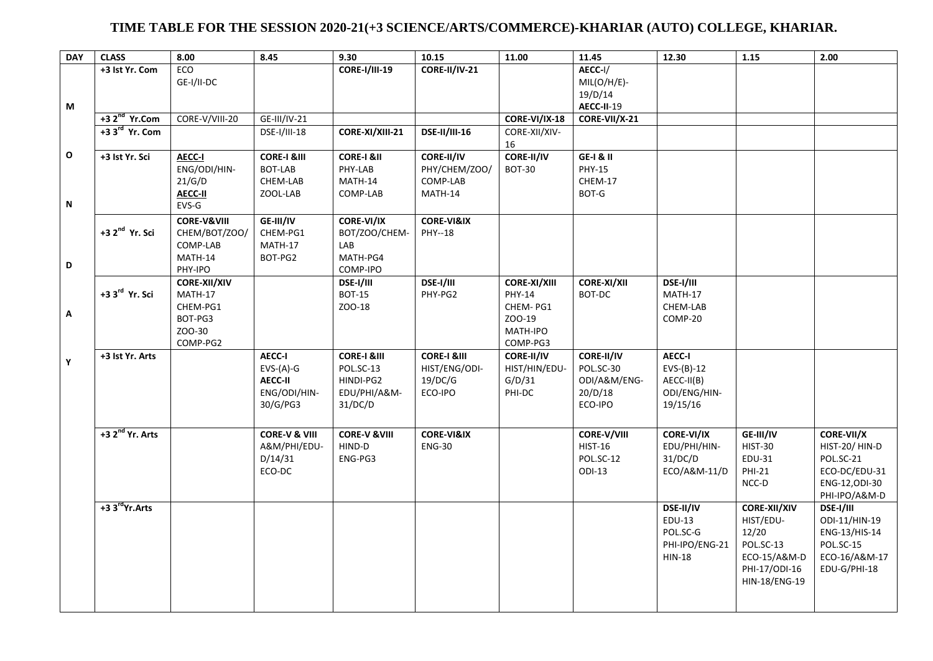## **TIME TABLE FOR THE SESSION 2020-21(+3 SCIENCE/ARTS/COMMERCE)-KHARIAR (AUTO) COLLEGE, KHARIAR.**

| <b>DAY</b>        | <b>CLASS</b>                | 8.00                                                                        | 8.45                                                                | 9.30                                                                        | 10.15                                                         | 11.00                                                                       | 11.45                                                         | 12.30                                                              | 1.15                                                                                                     | 2.00                                                                                         |
|-------------------|-----------------------------|-----------------------------------------------------------------------------|---------------------------------------------------------------------|-----------------------------------------------------------------------------|---------------------------------------------------------------|-----------------------------------------------------------------------------|---------------------------------------------------------------|--------------------------------------------------------------------|----------------------------------------------------------------------------------------------------------|----------------------------------------------------------------------------------------------|
| M                 | +3 Ist Yr. Com              | <b>ECO</b><br>GE-I/II-DC                                                    |                                                                     | <b>CORE-I/III-19</b>                                                        | <b>CORE-II/IV-21</b>                                          |                                                                             | AECC-I/<br>$MIL(O/H/E)$ -<br>19/D/14<br>AECC-II-19            |                                                                    |                                                                                                          |                                                                                              |
|                   | $+32nd$ Yr.Com              | CORE-V/VIII-20                                                              | GE-III/IV-21                                                        |                                                                             |                                                               | CORE-VI/IX-18                                                               | CORE-VII/X-21                                                 |                                                                    |                                                                                                          |                                                                                              |
|                   | +3 3 <sup>rd</sup> Yr. Com  |                                                                             | DSE-I/III-18                                                        | CORE-XI/XIII-21                                                             | <b>DSE-II/III-16</b>                                          | CORE-XII/XIV-<br>16                                                         |                                                               |                                                                    |                                                                                                          |                                                                                              |
| $\mathbf{o}$<br>N | +3 Ist Yr. Sci              | <b>AECC-I</b><br>ENG/ODI/HIN-<br>21/G/D<br><b>AECC-II</b><br>EVS-G          | <b>CORE-I &amp;III</b><br>BOT-LAB<br>CHEM-LAB<br>ZOOL-LAB           | <b>CORE-I &amp;II</b><br>PHY-LAB<br>MATH-14<br>COMP-LAB                     | <b>CORE-II/IV</b><br>PHY/CHEM/ZOO/<br>COMP-LAB<br>MATH-14     | <b>CORE-II/IV</b><br><b>BOT-30</b>                                          | <b>GE-I &amp; II</b><br><b>PHY-15</b><br>CHEM-17<br>BOT-G     |                                                                    |                                                                                                          |                                                                                              |
| D                 | +3 2 <sup>nd</sup> Yr. Sci  | <b>CORE-V&amp;VIII</b><br>CHEM/BOT/ZOO/<br>COMP-LAB<br>MATH-14<br>PHY-IPO   | GE-III/IV<br>CHEM-PG1<br>MATH-17<br>BOT-PG2                         | <b>CORE-VI/IX</b><br>BOT/ZOO/CHEM-<br>LAB<br>MATH-PG4<br>COMP-IPO           | <b>CORE-VI&amp;IX</b><br>PHY--18                              |                                                                             |                                                               |                                                                    |                                                                                                          |                                                                                              |
| A                 | +3 3 <sup>rd</sup> Yr. Sci  | <b>CORE-XII/XIV</b><br>MATH-17<br>CHEM-PG1<br>BOT-PG3<br>ZOO-30<br>COMP-PG2 |                                                                     | DSE-I/III<br><b>BOT-15</b><br>ZOO-18                                        | DSE-I/III<br>PHY-PG2                                          | <b>CORE-XI/XIII</b><br>PHY-14<br>CHEM-PG1<br>ZOO-19<br>MATH-IPO<br>COMP-PG3 | <b>CORE-XI/XII</b><br>BOT-DC                                  | DSE-I/III<br>MATH-17<br>CHEM-LAB<br>COMP-20                        |                                                                                                          |                                                                                              |
| Y                 | +3 Ist Yr. Arts             |                                                                             | <b>AECC-I</b><br>$EVS-(A)-G$<br>AECC-II<br>ENG/ODI/HIN-<br>30/G/PG3 | <b>CORE-I &amp;III</b><br>POL.SC-13<br>HINDI-PG2<br>EDU/PHI/A&M-<br>31/DC/D | <b>CORE-I &amp;III</b><br>HIST/ENG/ODI-<br>19/DC/G<br>ECO-IPO | <b>CORE-II/IV</b><br>HIST/HIN/EDU-<br>G/D/31<br>PHI-DC                      | CORE-II/IV<br>POL.SC-30<br>ODI/A&M/ENG-<br>20/D/18<br>ECO-IPO | AECC-I<br>$EVS-(B)-12$<br>AECC-II(B)<br>ODI/ENG/HIN-<br>19/15/16   |                                                                                                          |                                                                                              |
|                   | +3 2 <sup>nd</sup> Yr. Arts |                                                                             | <b>CORE-V &amp; VIII</b><br>A&M/PHI/EDU-<br>D/14/31<br>ECO-DC       | <b>CORE-V &amp; VIII</b><br>HIND-D<br>ENG-PG3                               | <b>CORE-VI&amp;IX</b><br><b>ENG-30</b>                        |                                                                             | CORE-V/VIII<br><b>HIST-16</b><br>POL.SC-12<br>ODI-13          | <b>CORE-VI/IX</b><br>EDU/PHI/HIN-<br>31/DC/D<br>ECO/A&M-11/D       | GE-III/IV<br><b>HIST-30</b><br>EDU-31<br><b>PHI-21</b><br>$NCC-D$                                        | CORE-VII/X<br>HIST-20/HIN-D<br>POL.SC-21<br>ECO-DC/EDU-31<br>ENG-12, ODI-30<br>PHI-IPO/A&M-D |
|                   | +3 3 <sup>rd</sup> Yr.Arts  |                                                                             |                                                                     |                                                                             |                                                               |                                                                             |                                                               | DSE-II/IV<br>EDU-13<br>POL.SC-G<br>PHI-IPO/ENG-21<br><b>HIN-18</b> | <b>CORE-XII/XIV</b><br>HIST/EDU-<br>12/20<br>POL.SC-13<br>ECO-15/A&M-D<br>PHI-17/ODI-16<br>HIN-18/ENG-19 | DSE-I/III<br>ODI-11/HIN-19<br>ENG-13/HIS-14<br>POL.SC-15<br>ECO-16/A&M-17<br>EDU-G/PHI-18    |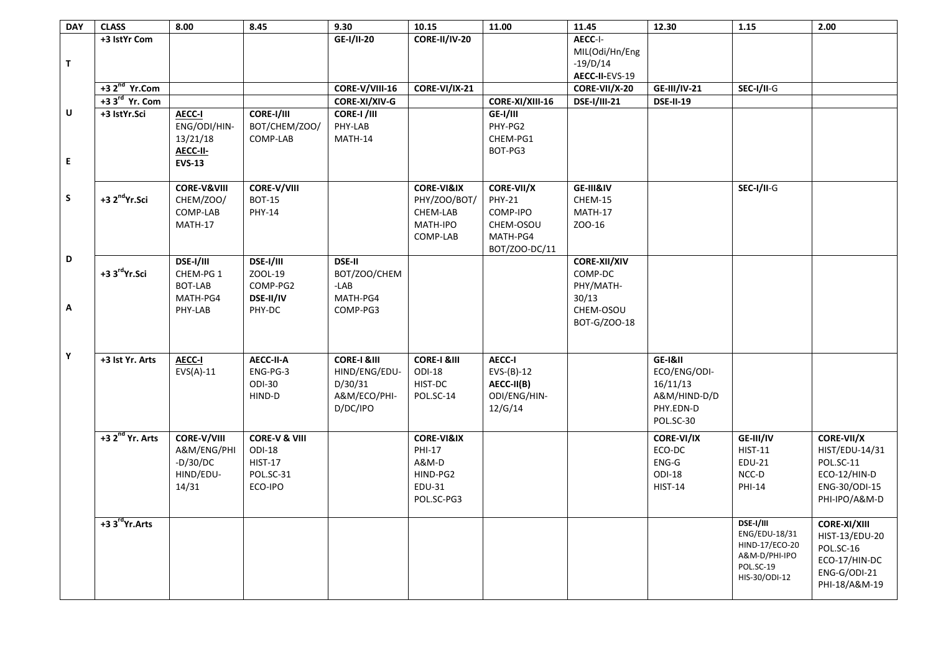| <b>DAY</b>   | <b>CLASS</b>                | 8.00                   | 8.45                     | 9.30                   | 10.15                  | 11.00           | 11.45               | 12.30               | 1.15           | 2.00                |
|--------------|-----------------------------|------------------------|--------------------------|------------------------|------------------------|-----------------|---------------------|---------------------|----------------|---------------------|
|              | +3 IstYr Com                |                        |                          | GE-I/II-20             | <b>CORE-II/IV-20</b>   |                 | AECC-I-             |                     |                |                     |
|              |                             |                        |                          |                        |                        |                 | MIL(Odi/Hn/Eng      |                     |                |                     |
| $\mathbf T$  |                             |                        |                          |                        |                        |                 | $-19/D/14$          |                     |                |                     |
|              |                             |                        |                          |                        |                        |                 | AECC-II-EVS-19      |                     |                |                     |
|              | $+32nd$ Yr.Com              |                        |                          | CORE-V/VIII-16         | CORE-VI/IX-21          |                 | CORE-VII/X-20       | <b>GE-III/IV-21</b> | SEC-I/II-G     |                     |
|              | +3 3 <sup>rd</sup> Yr. Com  |                        |                          | CORE-XI/XIV-G          |                        | CORE-XI/XIII-16 | <b>DSE-I/III-21</b> | <b>DSE-II-19</b>    |                |                     |
| U            | +3 IstYr.Sci                | <b>AECC-I</b>          | <b>CORE-I/III</b>        | CORE-I /III            |                        | <b>GE-I/III</b> |                     |                     |                |                     |
|              |                             | ENG/ODI/HIN-           | BOT/CHEM/ZOO/            | PHY-LAB                |                        | PHY-PG2         |                     |                     |                |                     |
|              |                             | 13/21/18               | COMP-LAB                 | MATH-14                |                        | CHEM-PG1        |                     |                     |                |                     |
|              |                             | AECC-II-               |                          |                        |                        | BOT-PG3         |                     |                     |                |                     |
| $\mathsf E$  |                             | <b>EVS-13</b>          |                          |                        |                        |                 |                     |                     |                |                     |
|              |                             |                        |                          |                        |                        |                 |                     |                     |                |                     |
|              |                             | <b>CORE-V&amp;VIII</b> | <b>CORE-V/VIII</b>       |                        | <b>CORE-VI&amp;IX</b>  | CORE-VII/X      | GE-III&IV           |                     | SEC-I/II-G     |                     |
| $\mathsf{s}$ | +3 2 <sup>nd</sup> Yr.Sci   | CHEM/ZOO/              | <b>BOT-15</b>            |                        | PHY/ZOO/BOT/           | <b>PHY-21</b>   | CHEM-15             |                     |                |                     |
|              |                             | COMP-LAB               | <b>PHY-14</b>            |                        | CHEM-LAB               | COMP-IPO        | MATH-17             |                     |                |                     |
|              |                             |                        |                          |                        |                        |                 |                     |                     |                |                     |
|              |                             | MATH-17                |                          |                        | MATH-IPO               | CHEM-OSOU       | ZOO-16              |                     |                |                     |
|              |                             |                        |                          |                        | COMP-LAB               | MATH-PG4        |                     |                     |                |                     |
| D            |                             |                        |                          |                        |                        | BOT/ZOO-DC/11   |                     |                     |                |                     |
|              | +3 3rdYr.Sci                | DSE-I/III              | DSE-I/III                | <b>DSE-II</b>          |                        |                 | <b>CORE-XII/XIV</b> |                     |                |                     |
|              |                             | CHEM-PG 1              | ZOOL-19                  | BOT/ZOO/CHEM           |                        |                 | COMP-DC             |                     |                |                     |
|              |                             | <b>BOT-LAB</b>         | COMP-PG2                 | $-LAB$                 |                        |                 | PHY/MATH-           |                     |                |                     |
|              |                             | MATH-PG4               | DSE-II/IV                | MATH-PG4               |                        |                 | 30/13               |                     |                |                     |
| Α            |                             | PHY-LAB                | PHY-DC                   | COMP-PG3               |                        |                 | CHEM-OSOU           |                     |                |                     |
|              |                             |                        |                          |                        |                        |                 | BOT-G/ZOO-18        |                     |                |                     |
|              |                             |                        |                          |                        |                        |                 |                     |                     |                |                     |
| $\mathbf Y$  |                             |                        |                          |                        |                        |                 |                     |                     |                |                     |
|              | +3 Ist Yr. Arts             | <b>AECC-I</b>          | AECC-II-A                | <b>CORE-I &amp;III</b> | <b>CORE-I &amp;III</b> | <b>AECC-I</b>   |                     | GE-I&II             |                |                     |
|              |                             | $EVS(A)-11$            | ENG-PG-3                 | HIND/ENG/EDU-          | <b>ODI-18</b>          | $EVS-(B)-12$    |                     | ECO/ENG/ODI-        |                |                     |
|              |                             |                        | <b>ODI-30</b>            | D/30/31                | HIST-DC                | AECC-II(B)      |                     | 16/11/13            |                |                     |
|              |                             |                        | HIND-D                   | A&M/ECO/PHI-           | POL.SC-14              | ODI/ENG/HIN-    |                     | A&M/HIND-D/D        |                |                     |
|              |                             |                        |                          | D/DC/IPO               |                        | 12/G/14         |                     | PHY.EDN-D           |                |                     |
|              |                             |                        |                          |                        |                        |                 |                     | POL.SC-30           |                |                     |
|              | +3 2 <sup>nd</sup> Yr. Arts | <b>CORE-V/VIII</b>     | <b>CORE-V &amp; VIII</b> |                        | <b>CORE-VI&amp;IX</b>  |                 |                     | <b>CORE-VI/IX</b>   | GE-III/IV      | <b>CORE-VII/X</b>   |
|              |                             | A&M/ENG/PHI            | ODI-18                   |                        | PHI-17                 |                 |                     | ECO-DC              | <b>HIST-11</b> | HIST/EDU-14/31      |
|              |                             | $-D/30/DC$             | <b>HIST-17</b>           |                        | A&M-D                  |                 |                     | $ENG-G$             | <b>EDU-21</b>  | POL.SC-11           |
|              |                             | HIND/EDU-              | POL.SC-31                |                        | HIND-PG2               |                 |                     | <b>ODI-18</b>       | NCC-D          | ECO-12/HIN-D        |
|              |                             | 14/31                  | ECO-IPO                  |                        | EDU-31                 |                 |                     | <b>HIST-14</b>      | PHI-14         | ENG-30/ODI-15       |
|              |                             |                        |                          |                        | POL.SC-PG3             |                 |                     |                     |                | PHI-IPO/A&M-D       |
|              |                             |                        |                          |                        |                        |                 |                     |                     |                |                     |
|              | +3 3 <sup>rd</sup> Yr.Arts  |                        |                          |                        |                        |                 |                     |                     | DSE-I/III      | <b>CORE-XI/XIII</b> |
|              |                             |                        |                          |                        |                        |                 |                     |                     | ENG/EDU-18/31  | HIST-13/EDU-20      |
|              |                             |                        |                          |                        |                        |                 |                     |                     | HIND-17/ECO-20 | POL.SC-16           |
|              |                             |                        |                          |                        |                        |                 |                     |                     | A&M-D/PHI-IPO  | ECO-17/HIN-DC       |
|              |                             |                        |                          |                        |                        |                 |                     |                     | POL.SC-19      |                     |
|              |                             |                        |                          |                        |                        |                 |                     |                     | HIS-30/ODI-12  | ENG-G/ODI-21        |
|              |                             |                        |                          |                        |                        |                 |                     |                     |                | PHI-18/A&M-19       |
|              |                             |                        |                          |                        |                        |                 |                     |                     |                |                     |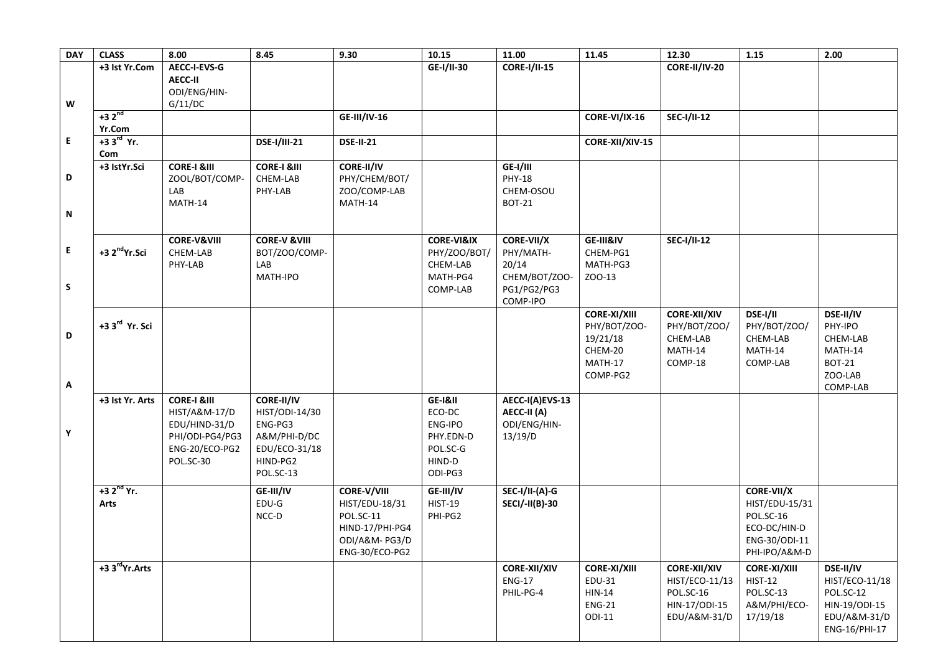| <b>DAY</b> | <b>CLASS</b>               | 8.00                   | 8.45                    | 9.30                | 10.15                 | 11.00                       | 11.45               | 12.30                | 1.15                | 2.00           |
|------------|----------------------------|------------------------|-------------------------|---------------------|-----------------------|-----------------------------|---------------------|----------------------|---------------------|----------------|
|            | +3 Ist Yr.Com              | AECC-I-EVS-G           |                         |                     | GE-I/II-30            | <b>CORE-I/II-15</b>         |                     | <b>CORE-II/IV-20</b> |                     |                |
|            |                            | <b>AECC-II</b>         |                         |                     |                       |                             |                     |                      |                     |                |
|            |                            | ODI/ENG/HIN-           |                         |                     |                       |                             |                     |                      |                     |                |
| W          |                            | G/11/DC                |                         |                     |                       |                             |                     |                      |                     |                |
|            | $+32^{nd}$                 |                        |                         | <b>GE-III/IV-16</b> |                       |                             | CORE-VI/IX-16       | <b>SEC-I/II-12</b>   |                     |                |
|            | Yr.Com                     |                        |                         |                     |                       |                             |                     |                      |                     |                |
| E.         | $+33rd$ Yr.                |                        | <b>DSE-I/III-21</b>     | <b>DSE-II-21</b>    |                       |                             | CORE-XII/XIV-15     |                      |                     |                |
|            | Com                        |                        |                         |                     |                       |                             |                     |                      |                     |                |
| D          | +3 IstYr.Sci               | <b>CORE-I &amp;III</b> | <b>CORE-I &amp;III</b>  | <b>CORE-II/IV</b>   |                       | GE-I/III                    |                     |                      |                     |                |
|            |                            | ZOOL/BOT/COMP-         | CHEM-LAB                | PHY/CHEM/BOT/       |                       | <b>PHY-18</b>               |                     |                      |                     |                |
|            |                            | LAB                    | PHY-LAB                 | ZOO/COMP-LAB        |                       | CHEM-OSOU                   |                     |                      |                     |                |
| N          |                            | MATH-14                |                         | MATH-14             |                       | <b>BOT-21</b>               |                     |                      |                     |                |
|            |                            |                        |                         |                     |                       |                             |                     |                      |                     |                |
|            |                            | <b>CORE-V&amp;VIII</b> | <b>CORE-V &amp;VIII</b> |                     | <b>CORE-VI&amp;IX</b> | <b>CORE-VII/X</b>           | GE-III&IV           | <b>SEC-I/II-12</b>   |                     |                |
| E          | +3 2 <sup>nd</sup> Yr.Sci  | CHEM-LAB               | BOT/ZOO/COMP-           |                     | PHY/ZOO/BOT/          | PHY/MATH-                   | CHEM-PG1            |                      |                     |                |
|            |                            | PHY-LAB                | LAB                     |                     | CHEM-LAB              | 20/14                       | MATH-PG3            |                      |                     |                |
|            |                            |                        | MATH-IPO                |                     | MATH-PG4              | CHEM/BOT/ZOO-               | ZOO-13              |                      |                     |                |
| S          |                            |                        |                         |                     | COMP-LAB              | PG1/PG2/PG3                 |                     |                      |                     |                |
|            |                            |                        |                         |                     |                       | COMP-IPO                    |                     |                      |                     |                |
|            |                            |                        |                         |                     |                       |                             | <b>CORE-XI/XIII</b> | <b>CORE-XII/XIV</b>  | DSE-I/II            | DSE-II/IV      |
|            | +3 3 <sup>rd</sup> Yr. Sci |                        |                         |                     |                       |                             | PHY/BOT/ZOO-        | PHY/BOT/ZOO/         | PHY/BOT/ZOO/        | PHY-IPO        |
| D          |                            |                        |                         |                     |                       |                             | 19/21/18            | CHEM-LAB             | CHEM-LAB            | CHEM-LAB       |
|            |                            |                        |                         |                     |                       |                             | CHEM-20             | MATH-14              | MATH-14             | MATH-14        |
|            |                            |                        |                         |                     |                       |                             | MATH-17             | COMP-18              | COMP-LAB            | <b>BOT-21</b>  |
|            |                            |                        |                         |                     |                       |                             | COMP-PG2            |                      |                     | ZOO-LAB        |
| Α          |                            |                        |                         |                     |                       |                             |                     |                      |                     | COMP-LAB       |
|            | +3 Ist Yr. Arts            | <b>CORE-I &amp;III</b> | <b>CORE-II/IV</b>       |                     | GE-I&II               | AECC-I(A)EVS-13             |                     |                      |                     |                |
|            |                            | HIST/A&M-17/D          | HIST/ODI-14/30          |                     | ECO-DC                | AECC-II (A)                 |                     |                      |                     |                |
|            |                            | EDU/HIND-31/D          | ENG-PG3                 |                     | ENG-IPO               | ODI/ENG/HIN-                |                     |                      |                     |                |
| Υ          |                            | PHI/ODI-PG4/PG3        | A&M/PHI-D/DC            |                     | PHY.EDN-D             | 13/19/D                     |                     |                      |                     |                |
|            |                            | ENG-20/ECO-PG2         | EDU/ECO-31/18           |                     | POL.SC-G              |                             |                     |                      |                     |                |
|            |                            | POL.SC-30              | HIND-PG2                |                     | HIND-D                |                             |                     |                      |                     |                |
|            |                            |                        | POL.SC-13               |                     | ODI-PG3               |                             |                     |                      |                     |                |
|            | $+32^{nd}$ Yr.             |                        | GE-III/IV               | <b>CORE-V/VIII</b>  | GE-III/IV             | $\overline{SEC-I/II-(A)-G}$ |                     |                      | <b>CORE-VII/X</b>   |                |
|            | Arts                       |                        | EDU-G                   | HIST/EDU-18/31      | <b>HIST-19</b>        | <b>SECI/-II(B)-30</b>       |                     |                      | HIST/EDU-15/31      |                |
|            |                            |                        | NCC-D                   | POL.SC-11           | PHI-PG2               |                             |                     |                      | POL.SC-16           |                |
|            |                            |                        |                         | HIND-17/PHI-PG4     |                       |                             |                     |                      | ECO-DC/HIN-D        |                |
|            |                            |                        |                         | ODI/A&M-PG3/D       |                       |                             |                     |                      | ENG-30/ODI-11       |                |
|            |                            |                        |                         | ENG-30/ECO-PG2      |                       |                             |                     |                      | PHI-IPO/A&M-D       |                |
|            | +3 3 <sup>rd</sup> Yr.Arts |                        |                         |                     |                       | <b>CORE-XII/XIV</b>         | <b>CORE-XI/XIII</b> | <b>CORE-XII/XIV</b>  | <b>CORE-XI/XIII</b> | DSE-II/IV      |
|            |                            |                        |                         |                     |                       | <b>ENG-17</b>               | EDU-31              | HIST/ECO-11/13       | <b>HIST-12</b>      | HIST/ECO-11/18 |
|            |                            |                        |                         |                     |                       | PHIL-PG-4                   | $HIN-14$            | POL.SC-16            | POL.SC-13           | POL.SC-12      |
|            |                            |                        |                         |                     |                       |                             | <b>ENG-21</b>       | HIN-17/ODI-15        | A&M/PHI/ECO-        | HIN-19/ODI-15  |
|            |                            |                        |                         |                     |                       |                             | $ODI-11$            | EDU/A&M-31/D         | 17/19/18            | EDU/A&M-31/D   |
|            |                            |                        |                         |                     |                       |                             |                     |                      |                     | ENG-16/PHI-17  |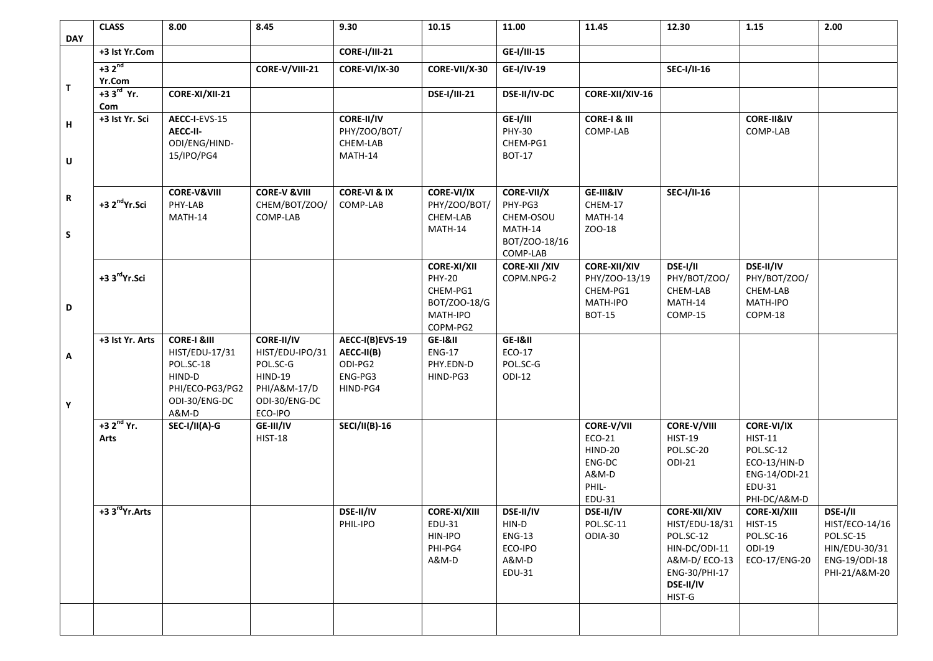|            | <b>CLASS</b>               | 8.00                             | 8.45                          | 9.30                    | 10.15                | 11.00                     | 11.45                   | 12.30                      | 1.15                          | 2.00                       |
|------------|----------------------------|----------------------------------|-------------------------------|-------------------------|----------------------|---------------------------|-------------------------|----------------------------|-------------------------------|----------------------------|
| <b>DAY</b> |                            |                                  |                               |                         |                      |                           |                         |                            |                               |                            |
|            | +3 Ist Yr.Com              |                                  |                               | <b>CORE-I/III-21</b>    |                      | GE-I/III-15               |                         |                            |                               |                            |
|            | $+32^{nd}$                 |                                  | CORE-V/VIII-21                | CORE-VI/IX-30           | CORE-VII/X-30        | GE-I/IV-19                |                         | <b>SEC-I/II-16</b>         |                               |                            |
| T          | Yr.Com<br>$+33rd$ Yr.      | CORE-XI/XII-21                   |                               |                         | <b>DSE-I/III-21</b>  | DSE-II/IV-DC              | CORE-XII/XIV-16         |                            |                               |                            |
|            | Com                        |                                  |                               |                         |                      |                           |                         |                            |                               |                            |
|            | +3 Ist Yr. Sci             | AECC-I-EVS-15                    |                               | CORE-II/IV              |                      | GE-I/III                  | <b>CORE-I &amp; III</b> |                            | <b>CORE-II&amp;IV</b>         |                            |
| н          |                            | AECC-II-                         |                               | PHY/ZOO/BOT/            |                      | <b>PHY-30</b>             | COMP-LAB                |                            | COMP-LAB                      |                            |
|            |                            | ODI/ENG/HIND-                    |                               | CHEM-LAB                |                      | CHEM-PG1                  |                         |                            |                               |                            |
| U          |                            | 15/IPO/PG4                       |                               | MATH-14                 |                      | <b>BOT-17</b>             |                         |                            |                               |                            |
|            |                            |                                  |                               |                         |                      |                           |                         |                            |                               |                            |
|            |                            | <b>CORE-V&amp;VIII</b>           | <b>CORE-V &amp;VIII</b>       | <b>CORE-VI &amp; IX</b> | <b>CORE-VI/IX</b>    | CORE-VII/X                | GE-III&IV               | <b>SEC-I/II-16</b>         |                               |                            |
| R          | +3 2 <sup>nd</sup> Yr.Sci  | PHY-LAB                          | CHEM/BOT/ZOO/                 | COMP-LAB                | PHY/ZOO/BOT/         | PHY-PG3                   | CHEM-17                 |                            |                               |                            |
|            |                            | MATH-14                          | COMP-LAB                      |                         | CHEM-LAB             | CHEM-OSOU                 | MATH-14                 |                            |                               |                            |
| S          |                            |                                  |                               |                         | MATH-14              | MATH-14                   | ZOO-18                  |                            |                               |                            |
|            |                            |                                  |                               |                         |                      | BOT/ZOO-18/16<br>COMP-LAB |                         |                            |                               |                            |
|            |                            |                                  |                               |                         | <b>CORE-XI/XII</b>   | <b>CORE-XII / XIV</b>     | <b>CORE-XII/XIV</b>     | DSE-I/II                   | DSE-II/IV                     |                            |
|            | +3 3 <sup>rd</sup> Yr.Sci  |                                  |                               |                         | <b>PHY-20</b>        | COPM.NPG-2                | PHY/ZOO-13/19           | PHY/BOT/ZOO/               | PHY/BOT/ZOO/                  |                            |
|            |                            |                                  |                               |                         | CHEM-PG1             |                           | CHEM-PG1                | CHEM-LAB                   | CHEM-LAB                      |                            |
| D          |                            |                                  |                               |                         | BOT/ZOO-18/G         |                           | MATH-IPO                | MATH-14                    | MATH-IPO                      |                            |
|            |                            |                                  |                               |                         | MATH-IPO<br>COPM-PG2 |                           | <b>BOT-15</b>           | COMP-15                    | COPM-18                       |                            |
|            | +3 Ist Yr. Arts            | <b>CORE-I &amp;III</b>           | CORE-II/IV                    | AECC-I(B)EVS-19         | GE-I&II              | GE-I&II                   |                         |                            |                               |                            |
| А          |                            | HIST/EDU-17/31                   | HIST/EDU-IPO/31               | AECC-II(B)              | <b>ENG-17</b>        | ECO-17                    |                         |                            |                               |                            |
|            |                            | POL.SC-18                        | POL.SC-G                      | ODI-PG2                 | PHY.EDN-D            | POL.SC-G                  |                         |                            |                               |                            |
|            |                            | HIND-D                           | <b>HIND-19</b>                | ENG-PG3                 | HIND-PG3             | <b>ODI-12</b>             |                         |                            |                               |                            |
|            |                            | PHI/ECO-PG3/PG2<br>ODI-30/ENG-DC | PHI/A&M-17/D<br>ODI-30/ENG-DC | HIND-PG4                |                      |                           |                         |                            |                               |                            |
| Υ          |                            | A&M-D                            | ECO-IPO                       |                         |                      |                           |                         |                            |                               |                            |
|            | $+32nd$ Yr.                | SEC-I/II(A)-G                    | GE-III/IV                     | <b>SECI/II(B)-16</b>    |                      |                           | <b>CORE-V/VII</b>       | <b>CORE-V/VIII</b>         | <b>CORE-VI/IX</b>             |                            |
|            | Arts                       |                                  | <b>HIST-18</b>                |                         |                      |                           | ECO-21                  | <b>HIST-19</b>             | <b>HIST-11</b>                |                            |
|            |                            |                                  |                               |                         |                      |                           | <b>HIND-20</b>          | POL.SC-20                  | POL.SC-12                     |                            |
|            |                            |                                  |                               |                         |                      |                           | ENG-DC<br>A&M-D         | ODI-21                     | ECO-13/HIN-D<br>ENG-14/ODI-21 |                            |
|            |                            |                                  |                               |                         |                      |                           | PHIL-                   |                            | EDU-31                        |                            |
|            |                            |                                  |                               |                         |                      |                           | EDU-31                  |                            | PHI-DC/A&M-D                  |                            |
|            | +3 3 <sup>rd</sup> Yr.Arts |                                  |                               | DSE-II/IV               | <b>CORE-XI/XIII</b>  | DSE-II/IV                 | DSE-II/IV               | <b>CORE-XII/XIV</b>        | <b>CORE-XI/XIII</b>           | DSE-I/II                   |
|            |                            |                                  |                               | PHIL-IPO                | EDU-31               | HIN-D                     | POL.SC-11               | HIST/EDU-18/31             | <b>HIST-15</b>                | HIST/ECO-14/16             |
|            |                            |                                  |                               |                         | HIN-IPO<br>PHI-PG4   | <b>ENG-13</b><br>ECO-IPO  | ODIA-30                 | POL.SC-12<br>HIN-DC/ODI-11 | POL.SC-16<br>ODI-19           | POL.SC-15<br>HIN/EDU-30/31 |
|            |                            |                                  |                               |                         | A&M-D                | A&M-D                     |                         | A&M-D/ECO-13               | ECO-17/ENG-20                 | ENG-19/ODI-18              |
|            |                            |                                  |                               |                         |                      | EDU-31                    |                         | ENG-30/PHI-17              |                               | PHI-21/A&M-20              |
|            |                            |                                  |                               |                         |                      |                           |                         | DSE-II/IV                  |                               |                            |
|            |                            |                                  |                               |                         |                      |                           |                         | HIST-G                     |                               |                            |
|            |                            |                                  |                               |                         |                      |                           |                         |                            |                               |                            |
|            |                            |                                  |                               |                         |                      |                           |                         |                            |                               |                            |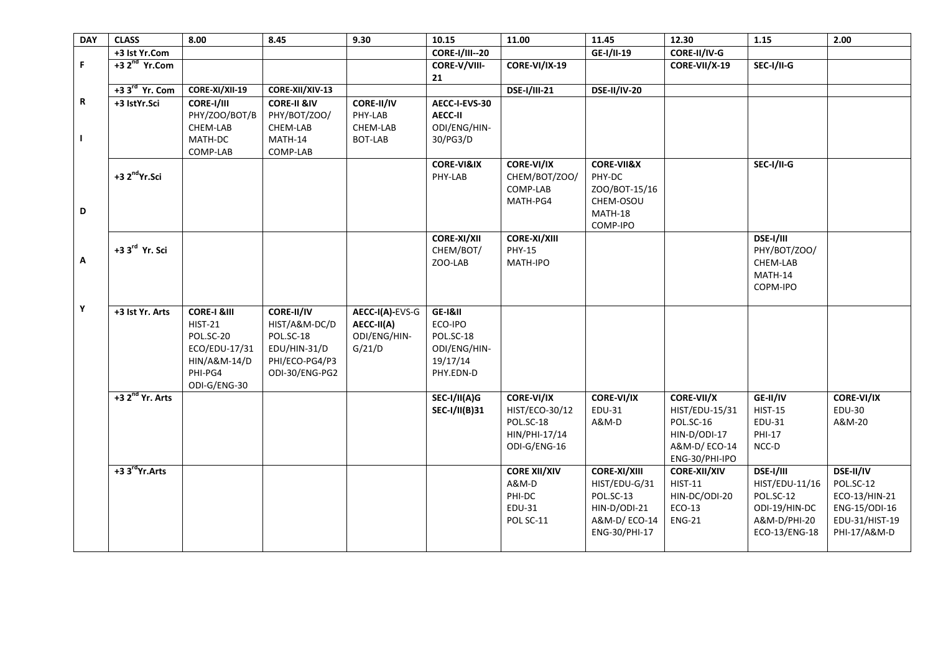| <b>DAY</b> | <b>CLASS</b>                  | 8.00                                                                                                              | 8.45                                                                                                | 9.30                                                    | 10.15                                                                    | 11.00                                                                             | 11.45                                                                                              | 12.30                                                                                              | 1.15                                                                                       | 2.00                                                                                              |
|------------|-------------------------------|-------------------------------------------------------------------------------------------------------------------|-----------------------------------------------------------------------------------------------------|---------------------------------------------------------|--------------------------------------------------------------------------|-----------------------------------------------------------------------------------|----------------------------------------------------------------------------------------------------|----------------------------------------------------------------------------------------------------|--------------------------------------------------------------------------------------------|---------------------------------------------------------------------------------------------------|
|            | +3 Ist Yr.Com                 |                                                                                                                   |                                                                                                     |                                                         | <b>CORE-I/III--20</b>                                                    |                                                                                   | GE-I/II-19                                                                                         | CORE-II/IV-G                                                                                       |                                                                                            |                                                                                                   |
| F.         | $+32nd$ Yr.Com                |                                                                                                                   |                                                                                                     |                                                         | CORE-V/VIII-<br>21                                                       | CORE-VI/IX-19                                                                     |                                                                                                    | CORE-VII/X-19                                                                                      | SEC-I/II-G                                                                                 |                                                                                                   |
|            | +3 3 <sup>rd</sup> Yr. Com    | CORE-XI/XII-19                                                                                                    | CORE-XII/XIV-13                                                                                     |                                                         |                                                                          | <b>DSE-I/III-21</b>                                                               | <b>DSE-II/IV-20</b>                                                                                |                                                                                                    |                                                                                            |                                                                                                   |
| R<br>J.    | +3 IstYr.Sci                  | CORE-I/III<br>PHY/ZOO/BOT/B<br>CHEM-LAB<br>MATH-DC<br>COMP-LAB                                                    | <b>CORE-II &amp;IV</b><br>PHY/BOT/ZOO/<br>CHEM-LAB<br>MATH-14<br>COMP-LAB                           | CORE-II/IV<br>PHY-LAB<br>CHEM-LAB<br><b>BOT-LAB</b>     | AECC-I-EVS-30<br><b>AECC-II</b><br>ODI/ENG/HIN-<br>30/PG3/D              |                                                                                   |                                                                                                    |                                                                                                    |                                                                                            |                                                                                                   |
| D          | +3 2 <sup>nd</sup> Yr.Sci     |                                                                                                                   |                                                                                                     |                                                         | <b>CORE-VI&amp;IX</b><br>PHY-LAB                                         | <b>CORE-VI/IX</b><br>CHEM/BOT/ZOO/<br>COMP-LAB<br>MATH-PG4                        | <b>CORE-VII&amp;X</b><br>PHY-DC<br>ZOO/BOT-15/16<br>CHEM-OSOU<br>MATH-18<br>COMP-IPO               |                                                                                                    | SEC-I/II-G                                                                                 |                                                                                                   |
| Α          | +3 3rd Yr. Sci                |                                                                                                                   |                                                                                                     |                                                         | <b>CORE-XI/XII</b><br>CHEM/BOT/<br>ZOO-LAB                               | <b>CORE-XI/XIII</b><br><b>PHY-15</b><br>MATH-IPO                                  |                                                                                                    |                                                                                                    | DSE-I/III<br>PHY/BOT/ZOO/<br>CHEM-LAB<br>MATH-14<br>COPM-IPO                               |                                                                                                   |
| Υ          | +3 Ist Yr. Arts               | <b>CORE-I &amp;III</b><br><b>HIST-21</b><br>POL.SC-20<br>ECO/EDU-17/31<br>HIN/A&M-14/D<br>PHI-PG4<br>ODI-G/ENG-30 | <b>CORE-II/IV</b><br>HIST/A&M-DC/D<br>POL.SC-18<br>EDU/HIN-31/D<br>PHI/ECO-PG4/P3<br>ODI-30/ENG-PG2 | AECC-I(A)-EVS-G<br>AECC-II(A)<br>ODI/ENG/HIN-<br>G/21/D | GE-I&II<br>ECO-IPO<br>POL.SC-18<br>ODI/ENG/HIN-<br>19/17/14<br>PHY.EDN-D |                                                                                   |                                                                                                    |                                                                                                    |                                                                                            |                                                                                                   |
|            | $+3$ 2 <sup>nd</sup> Yr. Arts |                                                                                                                   |                                                                                                     |                                                         | SEC-I/II(A)G<br><b>SEC-I/II(B)31</b>                                     | <b>CORE-VI/IX</b><br>HIST/ECO-30/12<br>POL.SC-18<br>HIN/PHI-17/14<br>ODI-G/ENG-16 | <b>CORE-VI/IX</b><br>EDU-31<br>A&M-D                                                               | <b>CORE-VII/X</b><br>HIST/EDU-15/31<br>POL.SC-16<br>HIN-D/ODI-17<br>A&M-D/ECO-14<br>ENG-30/PHI-IPO | GE-II/IV<br><b>HIST-15</b><br>EDU-31<br><b>PHI-17</b><br>$NCC-D$                           | <b>CORE-VI/IX</b><br><b>EDU-30</b><br>A&M-20                                                      |
|            | +3 3 <sup>rd</sup> Yr.Arts    |                                                                                                                   |                                                                                                     |                                                         |                                                                          | <b>CORE XII/XIV</b><br>A&M-D<br>PHI-DC<br>EDU-31<br>POL SC-11                     | <b>CORE-XI/XIII</b><br>HIST/EDU-G/31<br>POL.SC-13<br>HIN-D/ODI-21<br>A&M-D/ECO-14<br>ENG-30/PHI-17 | <b>CORE-XII/XIV</b><br><b>HIST-11</b><br>HIN-DC/ODI-20<br>$ECO-13$<br><b>ENG-21</b>                | DSE-I/III<br>HIST/EDU-11/16<br>POL.SC-12<br>ODI-19/HIN-DC<br>A&M-D/PHI-20<br>ECO-13/ENG-18 | <b>DSE-II/IV</b><br>POL.SC-12<br>ECO-13/HIN-21<br>ENG-15/ODI-16<br>EDU-31/HIST-19<br>PHI-17/A&M-D |